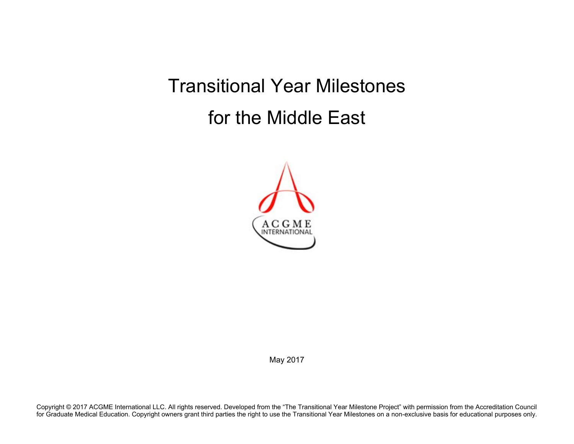Transitional Year Milestones for the Middle East



May 2017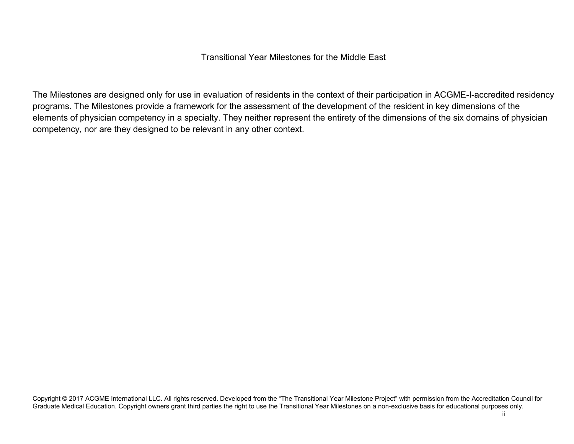## Transitional Year Milestones for the Middle East

The Milestones are designed only for use in evaluation of residents in the context of their participation in ACGME-I-accredited residency programs. The Milestones provide a framework for the assessment of the development of the resident in key dimensions of the elements of physician competency in a specialty. They neither represent the entirety of the dimensions of the six domains of physician competency, nor are they designed to be relevant in any other context.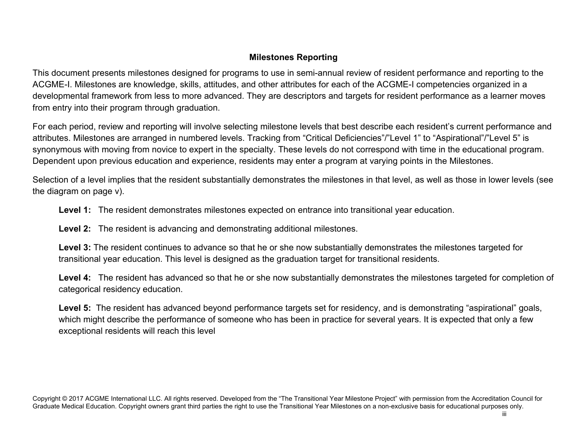## **Milestones Reporting**

This document presents milestones designed for programs to use in semi-annual review of resident performance and reporting to the ACGME-I. Milestones are knowledge, skills, attitudes, and other attributes for each of the ACGME-I competencies organized in a developmental framework from less to more advanced. They are descriptors and targets for resident performance as a learner moves from entry into their program through graduation.

For each period, review and reporting will involve selecting milestone levels that best describe each resident's current performance and attributes. Milestones are arranged in numbered levels. Tracking from "Critical Deficiencies"/"Level 1" to "Aspirational"/"Level 5" is synonymous with moving from novice to expert in the specialty. These levels do not correspond with time in the educational program. Dependent upon previous education and experience, residents may enter a program at varying points in the Milestones.

Selection of a level implies that the resident substantially demonstrates the milestones in that level, as well as those in lower levels (see the diagram on page v).

**Level 1:** The resident demonstrates milestones expected on entrance into transitional year education.

**Level 2:** The resident is advancing and demonstrating additional milestones.

**Level 3:** The resident continues to advance so that he or she now substantially demonstrates the milestones targeted for transitional year education. This level is designed as the graduation target for transitional residents.

**Level 4:** The resident has advanced so that he or she now substantially demonstrates the milestones targeted for completion of categorical residency education.

Level 5: The resident has advanced beyond performance targets set for residency, and is demonstrating "aspirational" goals, which might describe the performance of someone who has been in practice for several years. It is expected that only a few exceptional residents will reach this level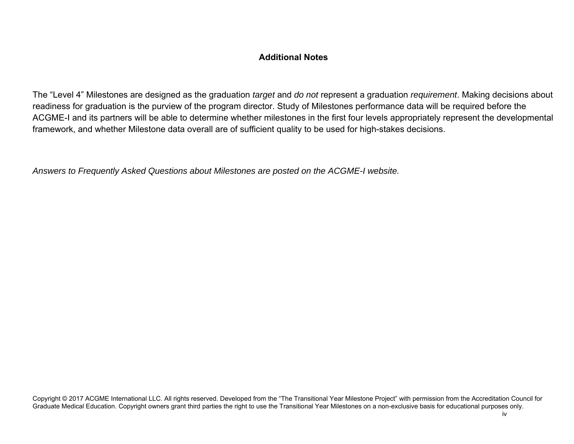## **Additional Notes**

The "Level 4" Milestones are designed as the graduation *target* and *do not* represent a graduation *requirement*. Making decisions about readiness for graduation is the purview of the program director. Study of Milestones performance data will be required before the ACGME-I and its partners will be able to determine whether milestones in the first four levels appropriately represent the developmental framework, and whether Milestone data overall are of sufficient quality to be used for high-stakes decisions.

*Answers to Frequently Asked Questions about Milestones are posted on the ACGME-I website.*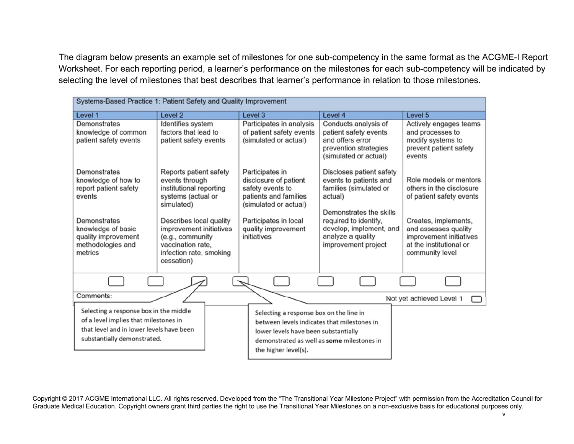The diagram below presents an example set of milestones for one sub-competency in the same format as the ACGME-I Report Worksheet. For each reporting period, a learner's performance on the milestones for each sub-competency will be indicated by selecting the level of milestones that best describes that learner's performance in relation to those milestones.

| Systems-Based Practice 1: Patient Safety and Quality Improvement                                                                                                    |                                                                                                                                                                                                                                   |                                                                                                                                                                                                      |                                                                                                                                                                                                                    |                                                                                                                                                                                                         |  |
|---------------------------------------------------------------------------------------------------------------------------------------------------------------------|-----------------------------------------------------------------------------------------------------------------------------------------------------------------------------------------------------------------------------------|------------------------------------------------------------------------------------------------------------------------------------------------------------------------------------------------------|--------------------------------------------------------------------------------------------------------------------------------------------------------------------------------------------------------------------|---------------------------------------------------------------------------------------------------------------------------------------------------------------------------------------------------------|--|
| Level 1                                                                                                                                                             | Level 2                                                                                                                                                                                                                           | Level 3                                                                                                                                                                                              | Level 4                                                                                                                                                                                                            | Level 5                                                                                                                                                                                                 |  |
| Demonstrates<br>knowledge of common<br>patient safety events                                                                                                        | Identifies system<br>factors that lead to<br>patient safety events                                                                                                                                                                | Participates in analysis<br>of patient safety events<br>(simulated or actual)                                                                                                                        | Conducts analysis of<br>patient safety events<br>and offers error<br>prevention strategies<br>(simulated or actual)                                                                                                | Actively engages teams<br>and processes to<br>modify systems to<br>prevent patient safety<br>events                                                                                                     |  |
| Demonstrates<br>knowledge of how to<br>report patient safety<br>events<br>Demonstrates<br>knowledge of basic<br>quality improvement<br>methodologies and<br>metrics | Reports patient safety<br>events through<br>institutional reporting<br>systems (actual or<br>simulated)<br>Describes local quality<br>improvement initiatives<br>(e.g., community<br>vaccination rate.<br>infection rate, smoking | Participates in<br>disclosure of patient<br>safety events to<br>patients and families<br>(simulated or actual)<br>Participates in local<br>quality improvement<br>initiatives                        | Discloses patient safety<br>events to patients and<br>families (simulated or<br>actual)<br>Demonstrates the skills<br>required to identify,<br>develop, implement, and<br>analyze a quality<br>improvement project | Role models or mentors<br>others in the disclosure<br>of patient safety events<br>Creates, implements,<br>and assesses quality<br>improvement initiatives<br>at the institutional or<br>community level |  |
|                                                                                                                                                                     | cessation)                                                                                                                                                                                                                        |                                                                                                                                                                                                      |                                                                                                                                                                                                                    |                                                                                                                                                                                                         |  |
| Comments:                                                                                                                                                           |                                                                                                                                                                                                                                   |                                                                                                                                                                                                      |                                                                                                                                                                                                                    | Not yet achieved Level 1                                                                                                                                                                                |  |
| Selecting a response box in the middle<br>of a level implies that milestones in<br>that level and in lower levels have been<br>substantially demonstrated.          |                                                                                                                                                                                                                                   | Selecting a response box on the line in<br>between levels indicates that milestones in<br>lower levels have been substantially<br>demonstrated as well as some milestones in<br>the higher level(s). |                                                                                                                                                                                                                    |                                                                                                                                                                                                         |  |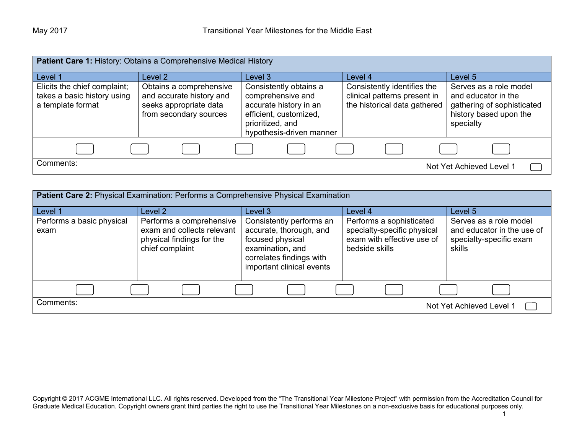| Patient Care 1: History: Obtains a Comprehensive Medical History                 |                                                                                                         |                                                                                                                                                 |                                                                                             |                                                                                                                    |
|----------------------------------------------------------------------------------|---------------------------------------------------------------------------------------------------------|-------------------------------------------------------------------------------------------------------------------------------------------------|---------------------------------------------------------------------------------------------|--------------------------------------------------------------------------------------------------------------------|
| Level 1                                                                          | Level 2                                                                                                 | Level 3                                                                                                                                         | Level 4                                                                                     | Level 5                                                                                                            |
| Elicits the chief complaint;<br>takes a basic history using<br>a template format | Obtains a comprehensive<br>and accurate history and<br>seeks appropriate data<br>from secondary sources | Consistently obtains a<br>comprehensive and<br>accurate history in an<br>efficient, customized,<br>prioritized, and<br>hypothesis-driven manner | Consistently identifies the<br>clinical patterns present in<br>the historical data gathered | Serves as a role model<br>and educator in the<br>gathering of sophisticated<br>history based upon the<br>specialty |
|                                                                                  |                                                                                                         |                                                                                                                                                 |                                                                                             |                                                                                                                    |
| Comments:                                                                        |                                                                                                         |                                                                                                                                                 |                                                                                             | Not Yet Achieved Level 1                                                                                           |

| <b>Patient Care 2: Physical Examination: Performs a Comprehensive Physical Examination</b> |                                                                                                        |                                                                                                                                                      |                                                                                                         |                                                                                           |
|--------------------------------------------------------------------------------------------|--------------------------------------------------------------------------------------------------------|------------------------------------------------------------------------------------------------------------------------------------------------------|---------------------------------------------------------------------------------------------------------|-------------------------------------------------------------------------------------------|
| Level 1                                                                                    | Level 2                                                                                                | Level 3                                                                                                                                              | Level 4                                                                                                 | Level 5                                                                                   |
| Performs a basic physical<br>exam                                                          | Performs a comprehensive<br>exam and collects relevant<br>physical findings for the<br>chief complaint | Consistently performs an<br>accurate, thorough, and<br>focused physical<br>examination, and<br>correlates findings with<br>important clinical events | Performs a sophisticated<br>specialty-specific physical<br>exam with effective use of<br>bedside skills | Serves as a role model<br>and educator in the use of<br>specialty-specific exam<br>skills |
|                                                                                            |                                                                                                        |                                                                                                                                                      |                                                                                                         |                                                                                           |
| Comments:                                                                                  |                                                                                                        |                                                                                                                                                      |                                                                                                         | Not Yet Achieved Level 1                                                                  |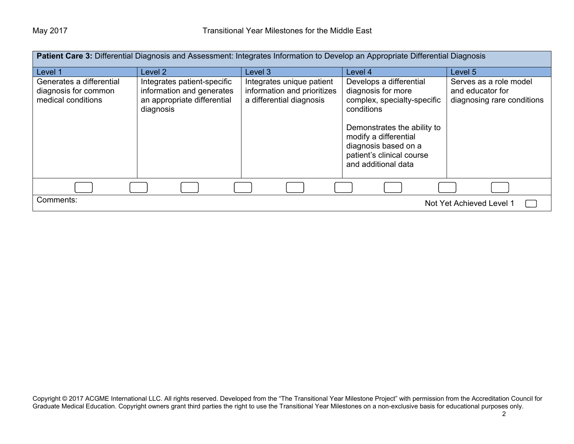| <b>Patient Care 3:</b> Differential Diagnosis and Assessment: Integrates Information to Develop an Appropriate Differential Diagnosis |                                                                                                      |                                                                                      |                                                                                                                                                                                                                                |                                                                          |
|---------------------------------------------------------------------------------------------------------------------------------------|------------------------------------------------------------------------------------------------------|--------------------------------------------------------------------------------------|--------------------------------------------------------------------------------------------------------------------------------------------------------------------------------------------------------------------------------|--------------------------------------------------------------------------|
| Level 1                                                                                                                               | Level 2                                                                                              | Level 3                                                                              | Level 4                                                                                                                                                                                                                        | Level 5                                                                  |
| Generates a differential<br>diagnosis for common<br>medical conditions                                                                | Integrates patient-specific<br>information and generates<br>an appropriate differential<br>diagnosis | Integrates unique patient<br>information and prioritizes<br>a differential diagnosis | Develops a differential<br>diagnosis for more<br>complex, specialty-specific<br>conditions<br>Demonstrates the ability to<br>modify a differential<br>diagnosis based on a<br>patient's clinical course<br>and additional data | Serves as a role model<br>and educator for<br>diagnosing rare conditions |
|                                                                                                                                       |                                                                                                      |                                                                                      |                                                                                                                                                                                                                                |                                                                          |
| Comments:<br>Not Yet Achieved Level 1                                                                                                 |                                                                                                      |                                                                                      |                                                                                                                                                                                                                                |                                                                          |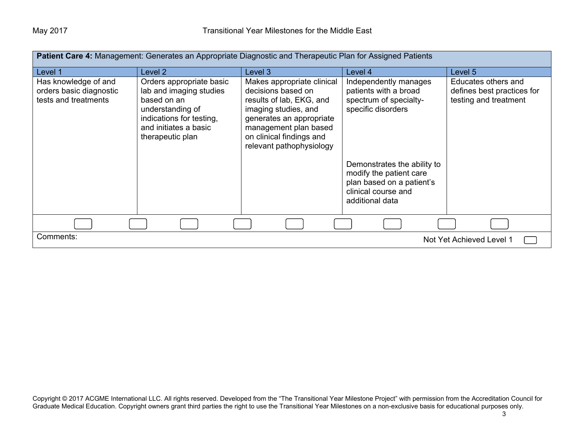| Patient Care 4: Management: Generates an Appropriate Diagnostic and Therapeutic Plan for Assigned Patients |                                                                                                                                                                 |                                                                                                                                                                                                                   |                                                                                                                                                                                                                                 |                                                                            |
|------------------------------------------------------------------------------------------------------------|-----------------------------------------------------------------------------------------------------------------------------------------------------------------|-------------------------------------------------------------------------------------------------------------------------------------------------------------------------------------------------------------------|---------------------------------------------------------------------------------------------------------------------------------------------------------------------------------------------------------------------------------|----------------------------------------------------------------------------|
| Level 1                                                                                                    | Level 2                                                                                                                                                         | Level 3                                                                                                                                                                                                           | Level 4                                                                                                                                                                                                                         | Level 5                                                                    |
| Has knowledge of and<br>orders basic diagnostic<br>tests and treatments                                    | Orders appropriate basic<br>lab and imaging studies<br>based on an<br>understanding of<br>indications for testing,<br>and initiates a basic<br>therapeutic plan | Makes appropriate clinical<br>decisions based on<br>results of lab, EKG, and<br>imaging studies, and<br>generates an appropriate<br>management plan based<br>on clinical findings and<br>relevant pathophysiology | Independently manages<br>patients with a broad<br>spectrum of specialty-<br>specific disorders<br>Demonstrates the ability to<br>modify the patient care<br>plan based on a patient's<br>clinical course and<br>additional data | Educates others and<br>defines best practices for<br>testing and treatment |
|                                                                                                            |                                                                                                                                                                 |                                                                                                                                                                                                                   |                                                                                                                                                                                                                                 |                                                                            |
| Comments:                                                                                                  |                                                                                                                                                                 |                                                                                                                                                                                                                   |                                                                                                                                                                                                                                 | Not Yet Achieved Level 1                                                   |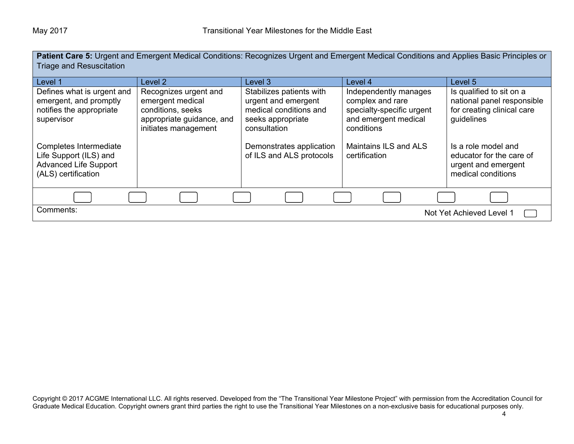**Patient Care 5:** Urgent and Emergent Medical Conditions: Recognizes Urgent and Emergent Medical Conditions and Applies Basic Principles or Triage and Resuscitation

| Level 1                                                                                                 | Level 2                                                                                                             | Level 3                                                                                                        | Level 4                                                                                                      | Level 5                                                                                            |
|---------------------------------------------------------------------------------------------------------|---------------------------------------------------------------------------------------------------------------------|----------------------------------------------------------------------------------------------------------------|--------------------------------------------------------------------------------------------------------------|----------------------------------------------------------------------------------------------------|
| Defines what is urgent and<br>emergent, and promptly<br>notifies the appropriate<br>supervisor          | Recognizes urgent and<br>emergent medical<br>conditions, seeks<br>appropriate guidance, and<br>initiates management | Stabilizes patients with<br>urgent and emergent<br>medical conditions and<br>seeks appropriate<br>consultation | Independently manages<br>complex and rare<br>specialty-specific urgent<br>and emergent medical<br>conditions | Is qualified to sit on a<br>national panel responsible<br>for creating clinical care<br>guidelines |
| Completes Intermediate<br>Life Support (ILS) and<br><b>Advanced Life Support</b><br>(ALS) certification |                                                                                                                     | Demonstrates application<br>of ILS and ALS protocols                                                           | Maintains ILS and ALS<br>certification                                                                       | Is a role model and<br>educator for the care of<br>urgent and emergent<br>medical conditions       |
|                                                                                                         |                                                                                                                     |                                                                                                                |                                                                                                              |                                                                                                    |
| Comments:                                                                                               |                                                                                                                     |                                                                                                                |                                                                                                              | Not Yet Achieved Level 1                                                                           |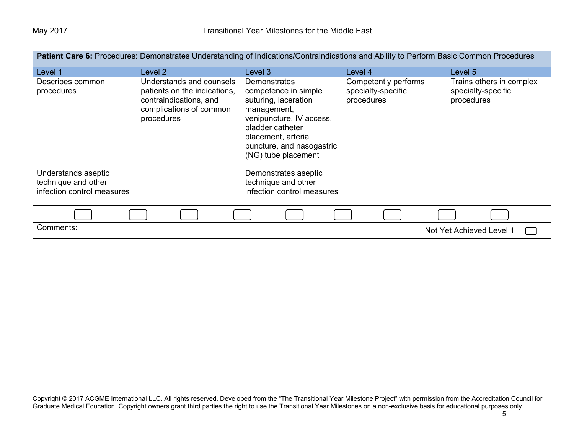| Patient Care 6: Procedures: Demonstrates Understanding of Indications/Contraindications and Ability to Perform Basic Common Procedures |                                                                                                                             |                                                                                                                                                                                                               |                                                          |                                                              |
|----------------------------------------------------------------------------------------------------------------------------------------|-----------------------------------------------------------------------------------------------------------------------------|---------------------------------------------------------------------------------------------------------------------------------------------------------------------------------------------------------------|----------------------------------------------------------|--------------------------------------------------------------|
| Level 1                                                                                                                                | Level 2                                                                                                                     | Level 3                                                                                                                                                                                                       | Level 4                                                  | Level 5                                                      |
| Describes common<br>procedures                                                                                                         | Understands and counsels<br>patients on the indications,<br>contraindications, and<br>complications of common<br>procedures | <b>Demonstrates</b><br>competence in simple<br>suturing, laceration<br>management,<br>venipuncture, IV access,<br>bladder catheter<br>placement, arterial<br>puncture, and nasogastric<br>(NG) tube placement | Competently performs<br>specialty-specific<br>procedures | Trains others in complex<br>specialty-specific<br>procedures |
| Understands aseptic<br>technique and other<br>infection control measures                                                               |                                                                                                                             | Demonstrates aseptic<br>technique and other<br>infection control measures                                                                                                                                     |                                                          |                                                              |
|                                                                                                                                        |                                                                                                                             |                                                                                                                                                                                                               |                                                          |                                                              |
| Comments:                                                                                                                              |                                                                                                                             |                                                                                                                                                                                                               |                                                          | Not Yet Achieved Level 1                                     |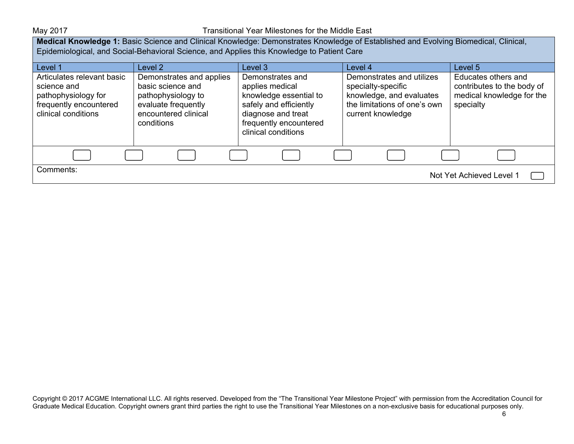May 2017 May 2017 **Transitional Year Milestones for the Middle East** 

**Medical Knowledge 1:** Basic Science and Clinical Knowledge: Demonstrates Knowledge of Established and Evolving Biomedical, Clinical, Epidemiological, and Social-Behavioral Science, and Applies this Knowledge to Patient Care

| Level 1                                                                                                           | Level 2                                                                                                                          | Level 3                                                                                                                                                        | Level 4                                                                                                                          | Level 5                                                                                     |
|-------------------------------------------------------------------------------------------------------------------|----------------------------------------------------------------------------------------------------------------------------------|----------------------------------------------------------------------------------------------------------------------------------------------------------------|----------------------------------------------------------------------------------------------------------------------------------|---------------------------------------------------------------------------------------------|
| Articulates relevant basic<br>science and<br>pathophysiology for<br>frequently encountered<br>clinical conditions | Demonstrates and applies<br>basic science and<br>pathophysiology to<br>evaluate frequently<br>encountered clinical<br>conditions | Demonstrates and<br>applies medical<br>knowledge essential to<br>safely and efficiently<br>diagnose and treat<br>frequently encountered<br>clinical conditions | Demonstrates and utilizes<br>specialty-specific<br>knowledge, and evaluates<br>the limitations of one's own<br>current knowledge | Educates others and<br>contributes to the body of<br>medical knowledge for the<br>specialty |
|                                                                                                                   |                                                                                                                                  |                                                                                                                                                                |                                                                                                                                  |                                                                                             |
| Comments:                                                                                                         |                                                                                                                                  |                                                                                                                                                                |                                                                                                                                  | Not Yet Achieved Level 1                                                                    |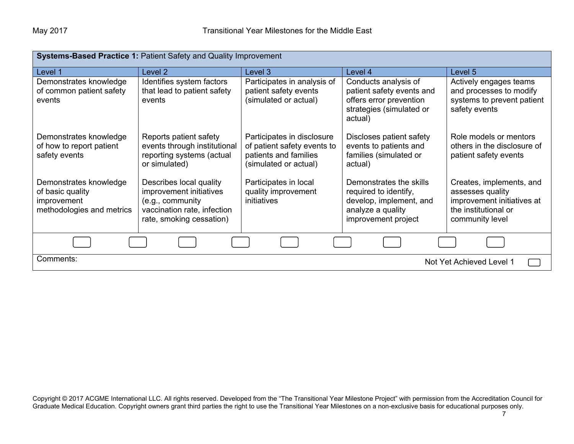| <b>Systems-Based Practice 1: Patient Safety and Quality Improvement</b>                |                                                                                                                                   |                                                                                                             |                                                                                                                         |                                                                                                                       |  |
|----------------------------------------------------------------------------------------|-----------------------------------------------------------------------------------------------------------------------------------|-------------------------------------------------------------------------------------------------------------|-------------------------------------------------------------------------------------------------------------------------|-----------------------------------------------------------------------------------------------------------------------|--|
| Level 1                                                                                | Level 2                                                                                                                           | Level 3                                                                                                     | Level 4                                                                                                                 | Level 5                                                                                                               |  |
| Demonstrates knowledge<br>of common patient safety<br>events                           | Identifies system factors<br>that lead to patient safety<br>events                                                                | Participates in analysis of<br>patient safety events<br>(simulated or actual)                               | Conducts analysis of<br>patient safety events and<br>offers error prevention<br>strategies (simulated or<br>actual)     | Actively engages teams<br>and processes to modify<br>systems to prevent patient<br>safety events                      |  |
| Demonstrates knowledge<br>of how to report patient<br>safety events                    | Reports patient safety<br>events through institutional<br>reporting systems (actual<br>or simulated)                              | Participates in disclosure<br>of patient safety events to<br>patients and families<br>(simulated or actual) | Discloses patient safety<br>events to patients and<br>families (simulated or<br>actual)                                 | Role models or mentors<br>others in the disclosure of<br>patient safety events                                        |  |
| Demonstrates knowledge<br>of basic quality<br>improvement<br>methodologies and metrics | Describes local quality<br>improvement initiatives<br>(e.g., community<br>vaccination rate, infection<br>rate, smoking cessation) | Participates in local<br>quality improvement<br>initiatives                                                 | Demonstrates the skills<br>required to identify,<br>develop, implement, and<br>analyze a quality<br>improvement project | Creates, implements, and<br>assesses quality<br>improvement initiatives at<br>the institutional or<br>community level |  |
|                                                                                        |                                                                                                                                   |                                                                                                             |                                                                                                                         |                                                                                                                       |  |
| Comments:                                                                              |                                                                                                                                   |                                                                                                             |                                                                                                                         | Not Yet Achieved Level 1                                                                                              |  |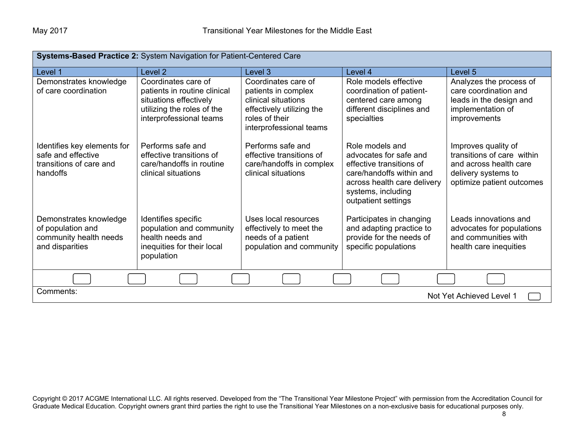| Systems-Based Practice 2: System Navigation for Patient-Centered Care                    |                                                                                                                                        |                                                                                                                                             |                                                                                                                                                                               |                                                                                                                                 |
|------------------------------------------------------------------------------------------|----------------------------------------------------------------------------------------------------------------------------------------|---------------------------------------------------------------------------------------------------------------------------------------------|-------------------------------------------------------------------------------------------------------------------------------------------------------------------------------|---------------------------------------------------------------------------------------------------------------------------------|
| Level 1                                                                                  | Level 2                                                                                                                                | Level 3                                                                                                                                     | Level 4                                                                                                                                                                       | Level 5                                                                                                                         |
| Demonstrates knowledge<br>of care coordination                                           | Coordinates care of<br>patients in routine clinical<br>situations effectively<br>utilizing the roles of the<br>interprofessional teams | Coordinates care of<br>patients in complex<br>clinical situations<br>effectively utilizing the<br>roles of their<br>interprofessional teams | Role models effective<br>coordination of patient-<br>centered care among<br>different disciplines and<br>specialties                                                          | Analyzes the process of<br>care coordination and<br>leads in the design and<br>implementation of<br>improvements                |
| Identifies key elements for<br>safe and effective<br>transitions of care and<br>handoffs | Performs safe and<br>effective transitions of<br>care/handoffs in routine<br>clinical situations                                       | Performs safe and<br>effective transitions of<br>care/handoffs in complex<br>clinical situations                                            | Role models and<br>advocates for safe and<br>effective transitions of<br>care/handoffs within and<br>across health care delivery<br>systems, including<br>outpatient settings | Improves quality of<br>transitions of care within<br>and across health care<br>delivery systems to<br>optimize patient outcomes |
| Demonstrates knowledge<br>of population and<br>community health needs<br>and disparities | Identifies specific<br>population and community<br>health needs and<br>inequities for their local<br>population                        | Uses local resources<br>effectively to meet the<br>needs of a patient<br>population and community                                           | Participates in changing<br>and adapting practice to<br>provide for the needs of<br>specific populations                                                                      | Leads innovations and<br>advocates for populations<br>and communities with<br>health care inequities                            |
|                                                                                          |                                                                                                                                        |                                                                                                                                             |                                                                                                                                                                               |                                                                                                                                 |
| Comments:<br>Not Yet Achieved Level 1                                                    |                                                                                                                                        |                                                                                                                                             |                                                                                                                                                                               |                                                                                                                                 |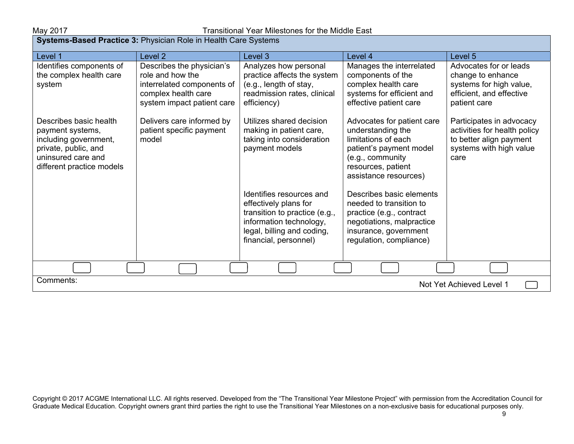| <b>Systems-Based Practice 3:</b> Physician Role in Health Care Systems                                                                         |                                                                                                                                  |                                                                                                                                                                      |                                                                                                                                                                      |                                                                                                                        |
|------------------------------------------------------------------------------------------------------------------------------------------------|----------------------------------------------------------------------------------------------------------------------------------|----------------------------------------------------------------------------------------------------------------------------------------------------------------------|----------------------------------------------------------------------------------------------------------------------------------------------------------------------|------------------------------------------------------------------------------------------------------------------------|
| Level 1                                                                                                                                        | Level <sub>2</sub>                                                                                                               | Level <sub>3</sub>                                                                                                                                                   | Level 4                                                                                                                                                              | Level 5                                                                                                                |
| Identifies components of<br>the complex health care<br>system                                                                                  | Describes the physician's<br>role and how the<br>interrelated components of<br>complex health care<br>system impact patient care | Analyzes how personal<br>practice affects the system<br>(e.g., length of stay,<br>readmission rates, clinical<br>efficiency)                                         | Manages the interrelated<br>components of the<br>complex health care<br>systems for efficient and<br>effective patient care                                          | Advocates for or leads<br>change to enhance<br>systems for high value,<br>efficient, and effective<br>patient care     |
| Describes basic health<br>payment systems,<br>including government,<br>private, public, and<br>uninsured care and<br>different practice models | Delivers care informed by<br>patient specific payment<br>model                                                                   | Utilizes shared decision<br>making in patient care,<br>taking into consideration<br>payment models                                                                   | Advocates for patient care<br>understanding the<br>limitations of each<br>patient's payment model<br>(e.g., community<br>resources, patient<br>assistance resources) | Participates in advocacy<br>activities for health policy<br>to better align payment<br>systems with high value<br>care |
|                                                                                                                                                |                                                                                                                                  | Identifies resources and<br>effectively plans for<br>transition to practice (e.g.,<br>information technology,<br>legal, billing and coding,<br>financial, personnel) | Describes basic elements<br>needed to transition to<br>practice (e.g., contract<br>negotiations, malpractice<br>insurance, government<br>regulation, compliance)     |                                                                                                                        |
|                                                                                                                                                |                                                                                                                                  |                                                                                                                                                                      |                                                                                                                                                                      |                                                                                                                        |
| Comments:<br>Not Yet Achieved Level 1                                                                                                          |                                                                                                                                  |                                                                                                                                                                      |                                                                                                                                                                      |                                                                                                                        |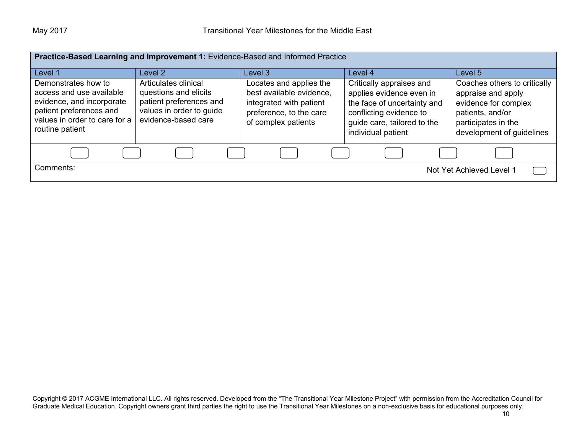| Practice-Based Learning and Improvement 1: Evidence-Based and Informed Practice                                                                             |                                                                                                                             |                                                                                                                                  |                                                                                                                                                                     |                                                                                                                                                    |
|-------------------------------------------------------------------------------------------------------------------------------------------------------------|-----------------------------------------------------------------------------------------------------------------------------|----------------------------------------------------------------------------------------------------------------------------------|---------------------------------------------------------------------------------------------------------------------------------------------------------------------|----------------------------------------------------------------------------------------------------------------------------------------------------|
| Level 1                                                                                                                                                     | Level 2                                                                                                                     | Level 3                                                                                                                          | Level 4                                                                                                                                                             | Level 5                                                                                                                                            |
| Demonstrates how to<br>access and use available<br>evidence, and incorporate<br>patient preferences and<br>values in order to care for a<br>routine patient | Articulates clinical<br>questions and elicits<br>patient preferences and<br>values in order to guide<br>evidence-based care | Locates and applies the<br>best available evidence,<br>integrated with patient<br>preference, to the care<br>of complex patients | Critically appraises and<br>applies evidence even in<br>the face of uncertainty and<br>conflicting evidence to<br>guide care, tailored to the<br>individual patient | Coaches others to critically<br>appraise and apply<br>evidence for complex<br>patients, and/or<br>participates in the<br>development of guidelines |
|                                                                                                                                                             |                                                                                                                             |                                                                                                                                  |                                                                                                                                                                     |                                                                                                                                                    |
| Comments:                                                                                                                                                   |                                                                                                                             |                                                                                                                                  |                                                                                                                                                                     | Not Yet Achieved Level 1                                                                                                                           |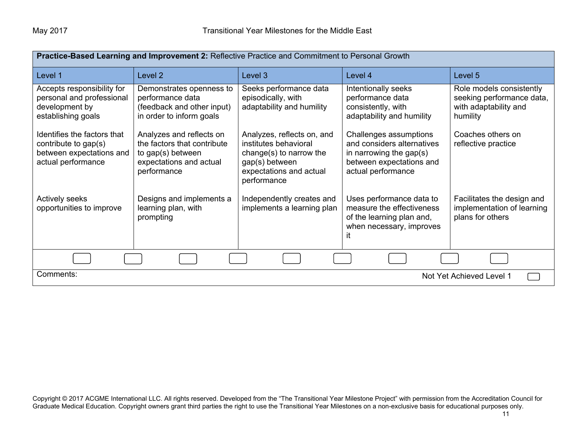| Practice-Based Learning and Improvement 2: Reflective Practice and Commitment to Personal Growth      |                                                                                                                        |                                                                                                                                            |                                                                                                                                      |                                                                                            |
|-------------------------------------------------------------------------------------------------------|------------------------------------------------------------------------------------------------------------------------|--------------------------------------------------------------------------------------------------------------------------------------------|--------------------------------------------------------------------------------------------------------------------------------------|--------------------------------------------------------------------------------------------|
| Level 1                                                                                               | Level <sub>2</sub>                                                                                                     | Level 3                                                                                                                                    | Level 4                                                                                                                              | Level 5                                                                                    |
| Accepts responsibility for<br>personal and professional<br>development by<br>establishing goals       | Demonstrates openness to<br>performance data<br>(feedback and other input)<br>in order to inform goals                 | Seeks performance data<br>episodically, with<br>adaptability and humility                                                                  | Intentionally seeks<br>performance data<br>consistently, with<br>adaptability and humility                                           | Role models consistently<br>seeking performance data,<br>with adaptability and<br>humility |
| Identifies the factors that<br>contribute to gap(s)<br>between expectations and<br>actual performance | Analyzes and reflects on<br>the factors that contribute<br>to gap(s) between<br>expectations and actual<br>performance | Analyzes, reflects on, and<br>institutes behavioral<br>change(s) to narrow the<br>gap(s) between<br>expectations and actual<br>performance | Challenges assumptions<br>and considers alternatives<br>in narrowing the gap $(s)$<br>between expectations and<br>actual performance | Coaches others on<br>reflective practice                                                   |
| <b>Actively seeks</b><br>opportunities to improve                                                     | Designs and implements a<br>learning plan, with<br>prompting                                                           | Independently creates and<br>implements a learning plan                                                                                    | Uses performance data to<br>measure the effectiveness<br>of the learning plan and,<br>when necessary, improves<br>it                 | Facilitates the design and<br>implementation of learning<br>plans for others               |
|                                                                                                       |                                                                                                                        |                                                                                                                                            |                                                                                                                                      |                                                                                            |
| Comments:<br>Not Yet Achieved Level 1                                                                 |                                                                                                                        |                                                                                                                                            |                                                                                                                                      |                                                                                            |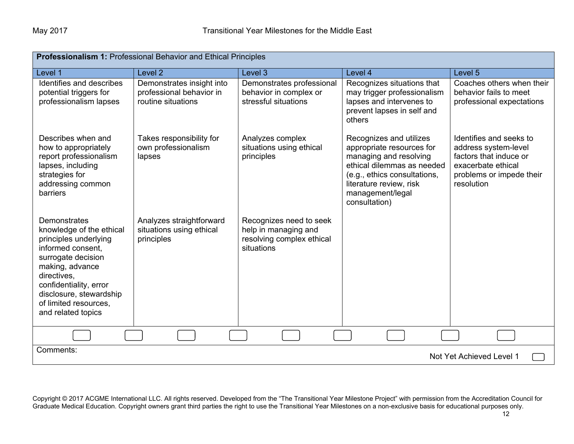| Professionalism 1: Professional Behavior and Ethical Principles                                                                                                                                                                                           |                                                                             |                                                                                            |                                                                                                                                                                                                              |                                                                                                                                           |
|-----------------------------------------------------------------------------------------------------------------------------------------------------------------------------------------------------------------------------------------------------------|-----------------------------------------------------------------------------|--------------------------------------------------------------------------------------------|--------------------------------------------------------------------------------------------------------------------------------------------------------------------------------------------------------------|-------------------------------------------------------------------------------------------------------------------------------------------|
| Level 1                                                                                                                                                                                                                                                   | Level <sub>2</sub>                                                          | Level 3                                                                                    | Level 4                                                                                                                                                                                                      | Level 5                                                                                                                                   |
| Identifies and describes<br>potential triggers for<br>professionalism lapses                                                                                                                                                                              | Demonstrates insight into<br>professional behavior in<br>routine situations | Demonstrates professional<br>behavior in complex or<br>stressful situations                | Recognizes situations that<br>may trigger professionalism<br>lapses and intervenes to<br>prevent lapses in self and<br>others                                                                                | Coaches others when their<br>behavior fails to meet<br>professional expectations                                                          |
| Describes when and<br>how to appropriately<br>report professionalism<br>lapses, including<br>strategies for<br>addressing common<br>barriers                                                                                                              | Takes responsibility for<br>own professionalism<br>lapses                   | Analyzes complex<br>situations using ethical<br>principles                                 | Recognizes and utilizes<br>appropriate resources for<br>managing and resolving<br>ethical dilemmas as needed<br>(e.g., ethics consultations,<br>literature review, risk<br>management/legal<br>consultation) | Identifies and seeks to<br>address system-level<br>factors that induce or<br>exacerbate ethical<br>problems or impede their<br>resolution |
| <b>Demonstrates</b><br>knowledge of the ethical<br>principles underlying<br>informed consent,<br>surrogate decision<br>making, advance<br>directives,<br>confidentiality, error<br>disclosure, stewardship<br>of limited resources.<br>and related topics | Analyzes straightforward<br>situations using ethical<br>principles          | Recognizes need to seek<br>help in managing and<br>resolving complex ethical<br>situations |                                                                                                                                                                                                              |                                                                                                                                           |
|                                                                                                                                                                                                                                                           |                                                                             |                                                                                            |                                                                                                                                                                                                              |                                                                                                                                           |
| Comments:<br>Not Yet Achieved Level 1                                                                                                                                                                                                                     |                                                                             |                                                                                            |                                                                                                                                                                                                              |                                                                                                                                           |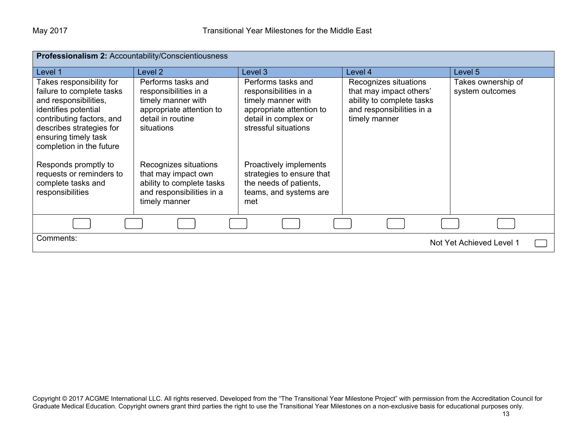| Professionalism 2: Accountability/Conscientiousness                                                                                                                                                                 |                                                                                                                                  |                                                                                                                                               |                                                                                                                             |                                       |
|---------------------------------------------------------------------------------------------------------------------------------------------------------------------------------------------------------------------|----------------------------------------------------------------------------------------------------------------------------------|-----------------------------------------------------------------------------------------------------------------------------------------------|-----------------------------------------------------------------------------------------------------------------------------|---------------------------------------|
| Level 1                                                                                                                                                                                                             | Level 2                                                                                                                          | Level 3                                                                                                                                       | Level 4                                                                                                                     | Level 5                               |
| Takes responsibility for<br>failure to complete tasks<br>and responsibilities,<br>identifies potential<br>contributing factors, and<br>describes strategies for<br>ensuring timely task<br>completion in the future | Performs tasks and<br>responsibilities in a<br>timely manner with<br>appropriate attention to<br>detail in routine<br>situations | Performs tasks and<br>responsibilities in a<br>timely manner with<br>appropriate attention to<br>detail in complex or<br>stressful situations | Recognizes situations<br>that may impact others'<br>ability to complete tasks<br>and responsibilities in a<br>timely manner | Takes ownership of<br>system outcomes |
| Responds promptly to<br>requests or reminders to<br>complete tasks and<br>responsibilities                                                                                                                          | Recognizes situations<br>that may impact own<br>ability to complete tasks<br>and responsibilities in a<br>timely manner          | Proactively implements<br>strategies to ensure that<br>the needs of patients,<br>teams, and systems are<br>met                                |                                                                                                                             |                                       |
|                                                                                                                                                                                                                     |                                                                                                                                  |                                                                                                                                               |                                                                                                                             |                                       |
| Comments:<br>Not Yet Achieved Level 1                                                                                                                                                                               |                                                                                                                                  |                                                                                                                                               |                                                                                                                             |                                       |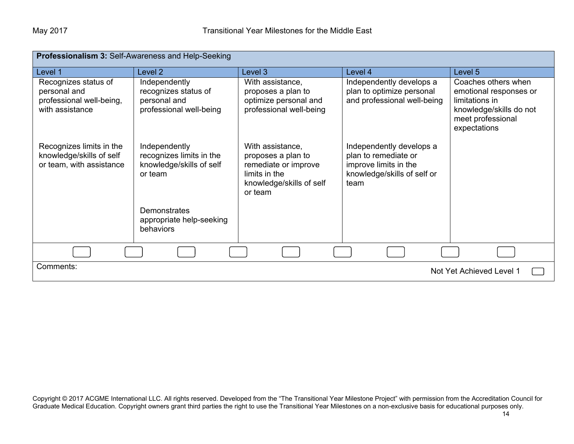| Professionalism 3: Self-Awareness and Help-Seeking                                  |                                                                                  |                                                                                                                        |                                                                                                                  |                                                                                                                                 |
|-------------------------------------------------------------------------------------|----------------------------------------------------------------------------------|------------------------------------------------------------------------------------------------------------------------|------------------------------------------------------------------------------------------------------------------|---------------------------------------------------------------------------------------------------------------------------------|
| Level 1                                                                             | Level 2                                                                          | Level 3                                                                                                                | Level 4                                                                                                          | Level 5                                                                                                                         |
| Recognizes status of<br>personal and<br>professional well-being,<br>with assistance | Independently<br>recognizes status of<br>personal and<br>professional well-being | With assistance,<br>proposes a plan to<br>optimize personal and<br>professional well-being                             | Independently develops a<br>plan to optimize personal<br>and professional well-being                             | Coaches others when<br>emotional responses or<br>limitations in<br>knowledge/skills do not<br>meet professional<br>expectations |
| Recognizes limits in the<br>knowledge/skills of self<br>or team, with assistance    | Independently<br>recognizes limits in the<br>knowledge/skills of self<br>or team | With assistance,<br>proposes a plan to<br>remediate or improve<br>limits in the<br>knowledge/skills of self<br>or team | Independently develops a<br>plan to remediate or<br>improve limits in the<br>knowledge/skills of self or<br>team |                                                                                                                                 |
|                                                                                     | Demonstrates<br>appropriate help-seeking<br>behaviors                            |                                                                                                                        |                                                                                                                  |                                                                                                                                 |
|                                                                                     |                                                                                  |                                                                                                                        |                                                                                                                  |                                                                                                                                 |
| Comments:<br>Not Yet Achieved Level 1                                               |                                                                                  |                                                                                                                        |                                                                                                                  |                                                                                                                                 |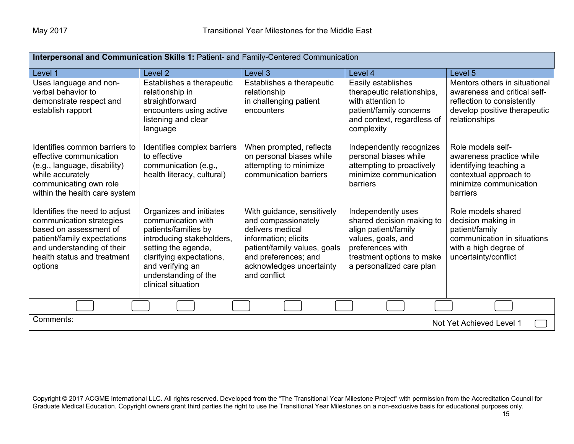| Interpersonal and Communication Skills 1: Patient- and Family-Centered Communication                                                                                                       |                                                                                                                                                                                                                         |                                                                                                                                                                                                   |                                                                                                                                                                            |                                                                                                                                              |
|--------------------------------------------------------------------------------------------------------------------------------------------------------------------------------------------|-------------------------------------------------------------------------------------------------------------------------------------------------------------------------------------------------------------------------|---------------------------------------------------------------------------------------------------------------------------------------------------------------------------------------------------|----------------------------------------------------------------------------------------------------------------------------------------------------------------------------|----------------------------------------------------------------------------------------------------------------------------------------------|
| Level 1                                                                                                                                                                                    | Level 2                                                                                                                                                                                                                 | Level 3                                                                                                                                                                                           | Level 4                                                                                                                                                                    | Level <sub>5</sub>                                                                                                                           |
| Uses language and non-<br>verbal behavior to<br>demonstrate respect and<br>establish rapport                                                                                               | Establishes a therapeutic<br>relationship in<br>straightforward<br>encounters using active<br>listening and clear<br>language                                                                                           | Establishes a therapeutic<br>relationship<br>in challenging patient<br>encounters                                                                                                                 | Easily establishes<br>therapeutic relationships,<br>with attention to<br>patient/family concerns<br>and context, regardless of<br>complexity                               | Mentors others in situational<br>awareness and critical self-<br>reflection to consistently<br>develop positive therapeutic<br>relationships |
| Identifies common barriers to<br>effective communication<br>(e.g., language, disability)<br>while accurately<br>communicating own role<br>within the health care system                    | Identifies complex barriers<br>to effective<br>communication (e.g.,<br>health literacy, cultural)                                                                                                                       | When prompted, reflects<br>on personal biases while<br>attempting to minimize<br>communication barriers                                                                                           | Independently recognizes<br>personal biases while<br>attempting to proactively<br>minimize communication<br>barriers                                                       | Role models self-<br>awareness practice while<br>identifying teaching a<br>contextual approach to<br>minimize communication<br>barriers      |
| Identifies the need to adjust<br>communication strategies<br>based on assessment of<br>patient/family expectations<br>and understanding of their<br>health status and treatment<br>options | Organizes and initiates<br>communication with<br>patients/families by<br>introducing stakeholders,<br>setting the agenda,<br>clarifying expectations,<br>and verifying an<br>understanding of the<br>clinical situation | With guidance, sensitively<br>and compassionately<br>delivers medical<br>information; elicits<br>patient/family values, goals<br>and preferences; and<br>acknowledges uncertainty<br>and conflict | Independently uses<br>shared decision making to<br>align patient/family<br>values, goals, and<br>preferences with<br>treatment options to make<br>a personalized care plan | Role models shared<br>decision making in<br>patient/family<br>communication in situations<br>with a high degree of<br>uncertainty/conflict   |
|                                                                                                                                                                                            |                                                                                                                                                                                                                         |                                                                                                                                                                                                   |                                                                                                                                                                            |                                                                                                                                              |
| Comments:<br>Not Yet Achieved Level 1                                                                                                                                                      |                                                                                                                                                                                                                         |                                                                                                                                                                                                   |                                                                                                                                                                            |                                                                                                                                              |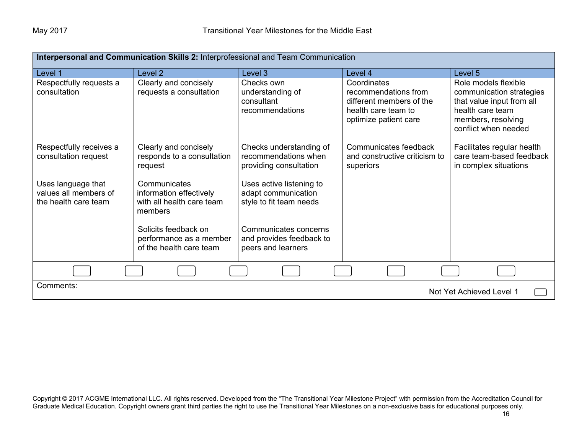| Interpersonal and Communication Skills 2: Interprofessional and Team Communication |                                                                                 |                                                                            |                                                                                                                 |                                                                                                                                                 |
|------------------------------------------------------------------------------------|---------------------------------------------------------------------------------|----------------------------------------------------------------------------|-----------------------------------------------------------------------------------------------------------------|-------------------------------------------------------------------------------------------------------------------------------------------------|
| Level 1                                                                            | Level <sub>2</sub>                                                              | Level 3                                                                    | Level 4                                                                                                         | Level 5                                                                                                                                         |
| Respectfully requests a<br>consultation                                            | Clearly and concisely<br>requests a consultation                                | Checks own<br>understanding of<br>consultant<br>recommendations            | Coordinates<br>recommendations from<br>different members of the<br>health care team to<br>optimize patient care | Role models flexible<br>communication strategies<br>that value input from all<br>health care team<br>members, resolving<br>conflict when needed |
| Respectfully receives a<br>consultation request                                    | Clearly and concisely<br>responds to a consultation<br>request                  | Checks understanding of<br>recommendations when<br>providing consultation  | Communicates feedback<br>and constructive criticism to<br>superiors                                             | Facilitates regular health<br>care team-based feedback<br>in complex situations                                                                 |
| Uses language that<br>values all members of<br>the health care team                | Communicates<br>information effectively<br>with all health care team<br>members | Uses active listening to<br>adapt communication<br>style to fit team needs |                                                                                                                 |                                                                                                                                                 |
|                                                                                    | Solicits feedback on<br>performance as a member<br>of the health care team      | Communicates concerns<br>and provides feedback to<br>peers and learners    |                                                                                                                 |                                                                                                                                                 |
|                                                                                    |                                                                                 |                                                                            |                                                                                                                 |                                                                                                                                                 |
| Comments:<br>Not Yet Achieved Level 1                                              |                                                                                 |                                                                            |                                                                                                                 |                                                                                                                                                 |